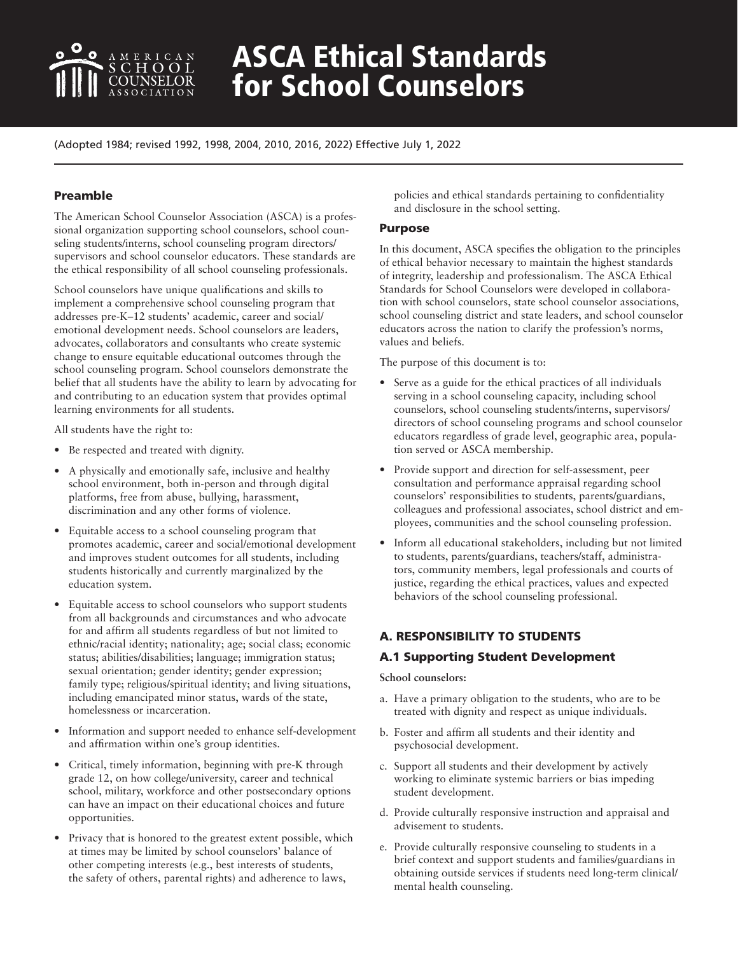

# ASCA Ethical Standards for School Counselors

(Adopted 1984; revised 1992, 1998, 2004, 2010, 2016, 2022) Effective July 1, 2022

# Preamble

The American School Counselor Association (ASCA) is a professional organization supporting school counselors, school counseling students/interns, school counseling program directors/ supervisors and school counselor educators. These standards are the ethical responsibility of all school counseling professionals.

School counselors have unique qualifications and skills to implement a comprehensive school counseling program that addresses pre-K–12 students' academic, career and social/ emotional development needs. School counselors are leaders, advocates, collaborators and consultants who create systemic change to ensure equitable educational outcomes through the school counseling program. School counselors demonstrate the belief that all students have the ability to learn by advocating for and contributing to an education system that provides optimal learning environments for all students.

All students have the right to:

- Be respected and treated with dignity.
- A physically and emotionally safe, inclusive and healthy school environment, both in-person and through digital platforms, free from abuse, bullying, harassment, discrimination and any other forms of violence.
- Equitable access to a school counseling program that promotes academic, career and social/emotional development and improves student outcomes for all students, including students historically and currently marginalized by the education system.
- Equitable access to school counselors who support students from all backgrounds and circumstances and who advocate for and affirm all students regardless of but not limited to ethnic/racial identity; nationality; age; social class; economic status; abilities/disabilities; language; immigration status; sexual orientation; gender identity; gender expression; family type; religious/spiritual identity; and living situations, including emancipated minor status, wards of the state, homelessness or incarceration.
- Information and support needed to enhance self-development and affirmation within one's group identities.
- Critical, timely information, beginning with pre-K through grade 12, on how college/university, career and technical school, military, workforce and other postsecondary options can have an impact on their educational choices and future opportunities.
- Privacy that is honored to the greatest extent possible, which at times may be limited by school counselors' balance of other competing interests (e.g., best interests of students, the safety of others, parental rights) and adherence to laws,

policies and ethical standards pertaining to confidentiality and disclosure in the school setting.

## Purpose

In this document, ASCA specifies the obligation to the principles of ethical behavior necessary to maintain the highest standards of integrity, leadership and professionalism. The ASCA Ethical Standards for School Counselors were developed in collaboration with school counselors, state school counselor associations, school counseling district and state leaders, and school counselor educators across the nation to clarify the profession's norms, values and beliefs.

The purpose of this document is to:

- Serve as a guide for the ethical practices of all individuals serving in a school counseling capacity, including school counselors, school counseling students/interns, supervisors/ directors of school counseling programs and school counselor educators regardless of grade level, geographic area, population served or ASCA membership.
- Provide support and direction for self-assessment, peer consultation and performance appraisal regarding school counselors' responsibilities to students, parents/guardians, colleagues and professional associates, school district and employees, communities and the school counseling profession.
- Inform all educational stakeholders, including but not limited to students, parents/guardians, teachers/staff, administrators, community members, legal professionals and courts of justice, regarding the ethical practices, values and expected behaviors of the school counseling professional.

# A. RESPONSIBILITY TO STUDENTS

# A.1 Supporting Student Development

- a. Have a primary obligation to the students, who are to be treated with dignity and respect as unique individuals.
- b. Foster and affirm all students and their identity and psychosocial development.
- c. Support all students and their development by actively working to eliminate systemic barriers or bias impeding student development.
- d. Provide culturally responsive instruction and appraisal and advisement to students.
- e. Provide culturally responsive counseling to students in a brief context and support students and families/guardians in obtaining outside services if students need long-term clinical/ mental health counseling.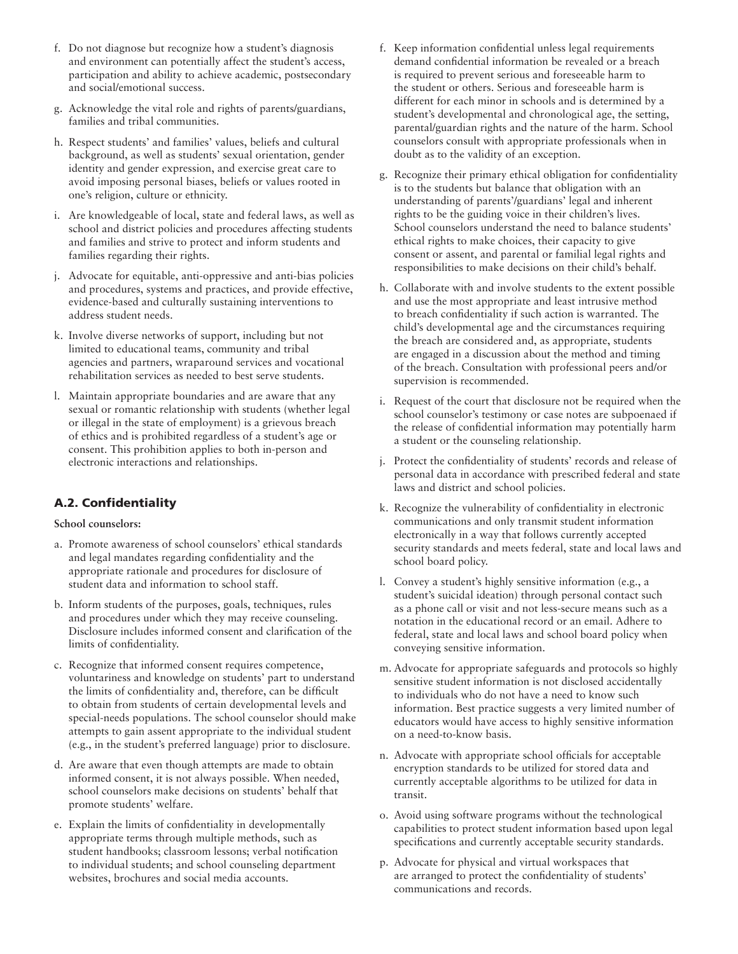- f. Do not diagnose but recognize how a student's diagnosis and environment can potentially affect the student's access, participation and ability to achieve academic, postsecondary and social/emotional success.
- g. Acknowledge the vital role and rights of parents/guardians, families and tribal communities.
- h. Respect students' and families' values, beliefs and cultural background, as well as students' sexual orientation, gender identity and gender expression, and exercise great care to avoid imposing personal biases, beliefs or values rooted in one's religion, culture or ethnicity.
- i. Are knowledgeable of local, state and federal laws, as well as school and district policies and procedures affecting students and families and strive to protect and inform students and families regarding their rights.
- j. Advocate for equitable, anti-oppressive and anti-bias policies and procedures, systems and practices, and provide effective, evidence-based and culturally sustaining interventions to address student needs.
- k. Involve diverse networks of support, including but not limited to educational teams, community and tribal agencies and partners, wraparound services and vocational rehabilitation services as needed to best serve students.
- l. Maintain appropriate boundaries and are aware that any sexual or romantic relationship with students (whether legal or illegal in the state of employment) is a grievous breach of ethics and is prohibited regardless of a student's age or consent. This prohibition applies to both in-person and electronic interactions and relationships.

# A.2. Confidentiality

- a. Promote awareness of school counselors' ethical standards and legal mandates regarding confidentiality and the appropriate rationale and procedures for disclosure of student data and information to school staff.
- b. Inform students of the purposes, goals, techniques, rules and procedures under which they may receive counseling. Disclosure includes informed consent and clarification of the limits of confidentiality.
- c. Recognize that informed consent requires competence, voluntariness and knowledge on students' part to understand the limits of confidentiality and, therefore, can be difficult to obtain from students of certain developmental levels and special-needs populations. The school counselor should make attempts to gain assent appropriate to the individual student (e.g., in the student's preferred language) prior to disclosure.
- d. Are aware that even though attempts are made to obtain informed consent, it is not always possible. When needed, school counselors make decisions on students' behalf that promote students' welfare.
- e. Explain the limits of confidentiality in developmentally appropriate terms through multiple methods, such as student handbooks; classroom lessons; verbal notification to individual students; and school counseling department websites, brochures and social media accounts.
- f. Keep information confidential unless legal requirements demand confidential information be revealed or a breach is required to prevent serious and foreseeable harm to the student or others. Serious and foreseeable harm is different for each minor in schools and is determined by a student's developmental and chronological age, the setting, parental/guardian rights and the nature of the harm. School counselors consult with appropriate professionals when in doubt as to the validity of an exception.
- g. Recognize their primary ethical obligation for confidentiality is to the students but balance that obligation with an understanding of parents'/guardians' legal and inherent rights to be the guiding voice in their children's lives. School counselors understand the need to balance students' ethical rights to make choices, their capacity to give consent or assent, and parental or familial legal rights and responsibilities to make decisions on their child's behalf.
- h. Collaborate with and involve students to the extent possible and use the most appropriate and least intrusive method to breach confidentiality if such action is warranted. The child's developmental age and the circumstances requiring the breach are considered and, as appropriate, students are engaged in a discussion about the method and timing of the breach. Consultation with professional peers and/or supervision is recommended.
- i. Request of the court that disclosure not be required when the school counselor's testimony or case notes are subpoenaed if the release of confidential information may potentially harm a student or the counseling relationship.
- j. Protect the confidentiality of students' records and release of personal data in accordance with prescribed federal and state laws and district and school policies.
- k. Recognize the vulnerability of confidentiality in electronic communications and only transmit student information electronically in a way that follows currently accepted security standards and meets federal, state and local laws and school board policy.
- l. Convey a student's highly sensitive information (e.g., a student's suicidal ideation) through personal contact such as a phone call or visit and not less-secure means such as a notation in the educational record or an email. Adhere to federal, state and local laws and school board policy when conveying sensitive information.
- m. Advocate for appropriate safeguards and protocols so highly sensitive student information is not disclosed accidentally to individuals who do not have a need to know such information. Best practice suggests a very limited number of educators would have access to highly sensitive information on a need-to-know basis.
- n. Advocate with appropriate school officials for acceptable encryption standards to be utilized for stored data and currently acceptable algorithms to be utilized for data in transit.
- o. Avoid using software programs without the technological capabilities to protect student information based upon legal specifications and currently acceptable security standards.
- p. Advocate for physical and virtual workspaces that are arranged to protect the confidentiality of students' communications and records.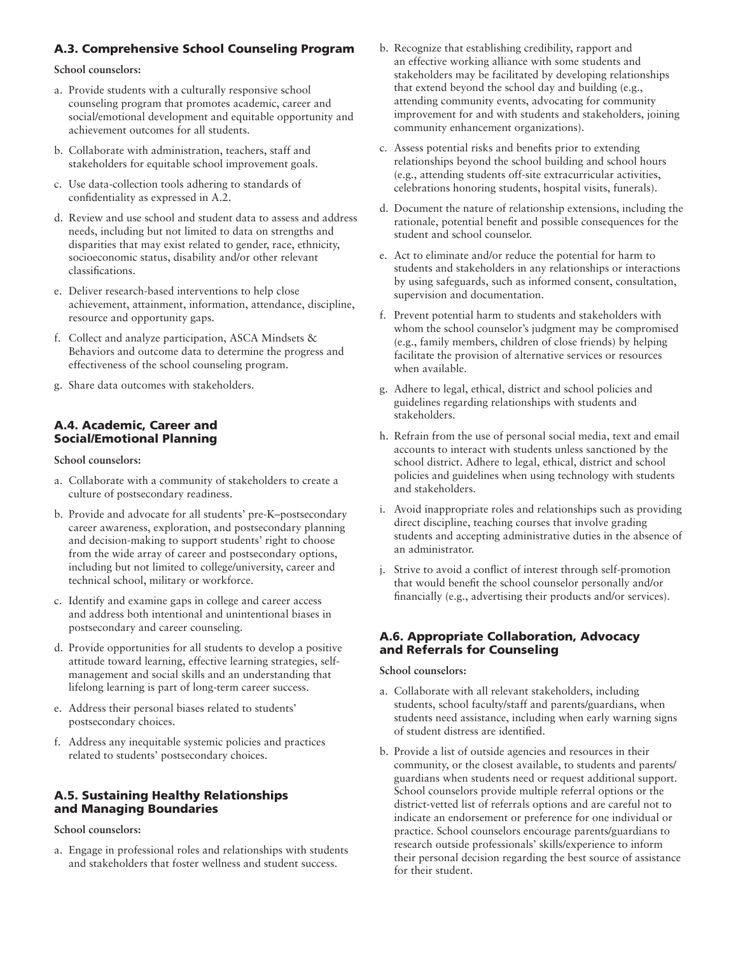# A.3. Comprehensive School Counseling Program

**School counselors:**

- a. Provide students with a culturally responsive school counseling program that promotes academic, career and social/emotional development and equitable opportunity and achievement outcomes for all students.
- b. Collaborate with administration, teachers, staff and stakeholders for equitable school improvement goals.
- c. Use data-collection tools adhering to standards of confidentiality as expressed in A.2.
- d. Review and use school and student data to assess and address needs, including but not limited to data on strengths and disparities that may exist related to gender, race, ethnicity, socioeconomic status, disability and/or other relevant classifications.
- e. Deliver research-based interventions to help close achievement, attainment, information, attendance, discipline, resource and opportunity gaps.
- f. Collect and analyze participation, ASCA Mindsets & Behaviors and outcome data to determine the progress and effectiveness of the school counseling program.
- g. Share data outcomes with stakeholders.

# A.4. Academic, Career and Social/Emotional Planning

**School counselors:**

- a. Collaborate with a community of stakeholders to create a culture of postsecondary readiness.
- b. Provide and advocate for all students' pre-K–postsecondary career awareness, exploration, and postsecondary planning and decision-making to support students' right to choose from the wide array of career and postsecondary options, including but not limited to college/university, career and technical school, military or workforce.
- c. Identify and examine gaps in college and career access and address both intentional and unintentional biases in postsecondary and career counseling.
- d. Provide opportunities for all students to develop a positive attitude toward learning, effective learning strategies, selfmanagement and social skills and an understanding that lifelong learning is part of long-term career success.
- e. Address their personal biases related to students' postsecondary choices.
- f. Address any inequitable systemic policies and practices related to students' postsecondary choices.

# A.5. Sustaining Healthy Relationships and Managing Boundaries

## **School counselors:**

a. Engage in professional roles and relationships with students and stakeholders that foster wellness and student success.

- b. Recognize that establishing credibility, rapport and an effective working alliance with some students and stakeholders may be facilitated by developing relationships that extend beyond the school day and building (e.g., attending community events, advocating for community improvement for and with students and stakeholders, joining community enhancement organizations).
- c. Assess potential risks and benefits prior to extending relationships beyond the school building and school hours (e.g., attending students off-site extracurricular activities, celebrations honoring students, hospital visits, funerals).
- d. Document the nature of relationship extensions, including the rationale, potential benefit and possible consequences for the student and school counselor.
- e. Act to eliminate and/or reduce the potential for harm to students and stakeholders in any relationships or interactions by using safeguards, such as informed consent, consultation, supervision and documentation.
- f. Prevent potential harm to students and stakeholders with whom the school counselor's judgment may be compromised (e.g., family members, children of close friends) by helping facilitate the provision of alternative services or resources when available.
- g. Adhere to legal, ethical, district and school policies and guidelines regarding relationships with students and stakeholders.
- h. Refrain from the use of personal social media, text and email accounts to interact with students unless sanctioned by the school district. Adhere to legal, ethical, district and school policies and guidelines when using technology with students and stakeholders.
- i. Avoid inappropriate roles and relationships such as providing direct discipline, teaching courses that involve grading students and accepting administrative duties in the absence of an administrator.
- j. Strive to avoid a conflict of interest through self-promotion that would benefit the school counselor personally and/or financially (e.g., advertising their products and/or services).

# A.6. Appropriate Collaboration, Advocacy and Referrals for Counseling

- a. Collaborate with all relevant stakeholders, including students, school faculty/staff and parents/guardians, when students need assistance, including when early warning signs of student distress are identified.
- b. Provide a list of outside agencies and resources in their community, or the closest available, to students and parents/ guardians when students need or request additional support. School counselors provide multiple referral options or the district-vetted list of referrals options and are careful not to indicate an endorsement or preference for one individual or practice. School counselors encourage parents/guardians to research outside professionals' skills/experience to inform their personal decision regarding the best source of assistance for their student.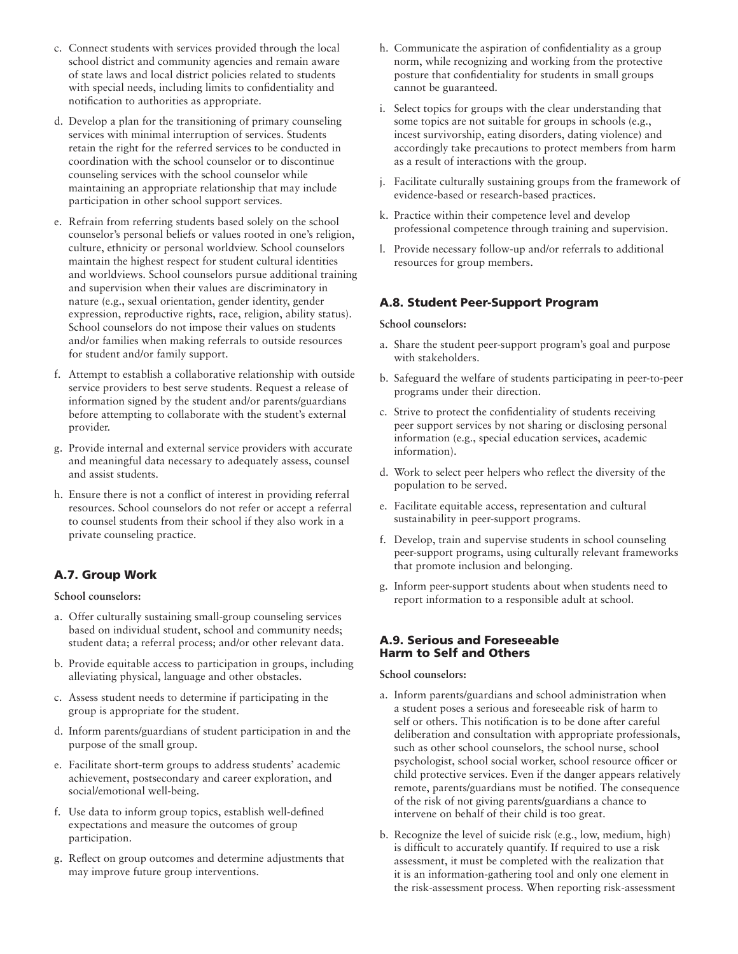- c. Connect students with services provided through the local school district and community agencies and remain aware of state laws and local district policies related to students with special needs, including limits to confidentiality and notification to authorities as appropriate.
- d. Develop a plan for the transitioning of primary counseling services with minimal interruption of services. Students retain the right for the referred services to be conducted in coordination with the school counselor or to discontinue counseling services with the school counselor while maintaining an appropriate relationship that may include participation in other school support services.
- e. Refrain from referring students based solely on the school counselor's personal beliefs or values rooted in one's religion, culture, ethnicity or personal worldview. School counselors maintain the highest respect for student cultural identities and worldviews. School counselors pursue additional training and supervision when their values are discriminatory in nature (e.g., sexual orientation, gender identity, gender expression, reproductive rights, race, religion, ability status). School counselors do not impose their values on students and/or families when making referrals to outside resources for student and/or family support.
- f. Attempt to establish a collaborative relationship with outside service providers to best serve students. Request a release of information signed by the student and/or parents/guardians before attempting to collaborate with the student's external provider.
- g. Provide internal and external service providers with accurate and meaningful data necessary to adequately assess, counsel and assist students.
- h. Ensure there is not a conflict of interest in providing referral resources. School counselors do not refer or accept a referral to counsel students from their school if they also work in a private counseling practice.

# A.7. Group Work

**School counselors:**

- a. Offer culturally sustaining small-group counseling services based on individual student, school and community needs; student data; a referral process; and/or other relevant data.
- b. Provide equitable access to participation in groups, including alleviating physical, language and other obstacles.
- c. Assess student needs to determine if participating in the group is appropriate for the student.
- d. Inform parents/guardians of student participation in and the purpose of the small group.
- e. Facilitate short-term groups to address students' academic achievement, postsecondary and career exploration, and social/emotional well-being.
- f. Use data to inform group topics, establish well-defined expectations and measure the outcomes of group participation.
- g. Reflect on group outcomes and determine adjustments that may improve future group interventions.
- h. Communicate the aspiration of confidentiality as a group norm, while recognizing and working from the protective posture that confidentiality for students in small groups cannot be guaranteed.
- i. Select topics for groups with the clear understanding that some topics are not suitable for groups in schools (e.g., incest survivorship, eating disorders, dating violence) and accordingly take precautions to protect members from harm as a result of interactions with the group.
- j. Facilitate culturally sustaining groups from the framework of evidence-based or research-based practices.
- k. Practice within their competence level and develop professional competence through training and supervision.
- l. Provide necessary follow-up and/or referrals to additional resources for group members.

# A.8. Student Peer-Support Program

# **School counselors:**

- a. Share the student peer-support program's goal and purpose with stakeholders.
- b. Safeguard the welfare of students participating in peer-to-peer programs under their direction.
- c. Strive to protect the confidentiality of students receiving peer support services by not sharing or disclosing personal information (e.g., special education services, academic information).
- d. Work to select peer helpers who reflect the diversity of the population to be served.
- e. Facilitate equitable access, representation and cultural sustainability in peer-support programs.
- f. Develop, train and supervise students in school counseling peer-support programs, using culturally relevant frameworks that promote inclusion and belonging.
- g. Inform peer-support students about when students need to report information to a responsible adult at school.

# A.9. Serious and Foreseeable Harm to Self and Others

- a. Inform parents/guardians and school administration when a student poses a serious and foreseeable risk of harm to self or others. This notification is to be done after careful deliberation and consultation with appropriate professionals, such as other school counselors, the school nurse, school psychologist, school social worker, school resource officer or child protective services. Even if the danger appears relatively remote, parents/guardians must be notified. The consequence of the risk of not giving parents/guardians a chance to intervene on behalf of their child is too great.
- b. Recognize the level of suicide risk (e.g., low, medium, high) is difficult to accurately quantify. If required to use a risk assessment, it must be completed with the realization that it is an information-gathering tool and only one element in the risk-assessment process. When reporting risk-assessment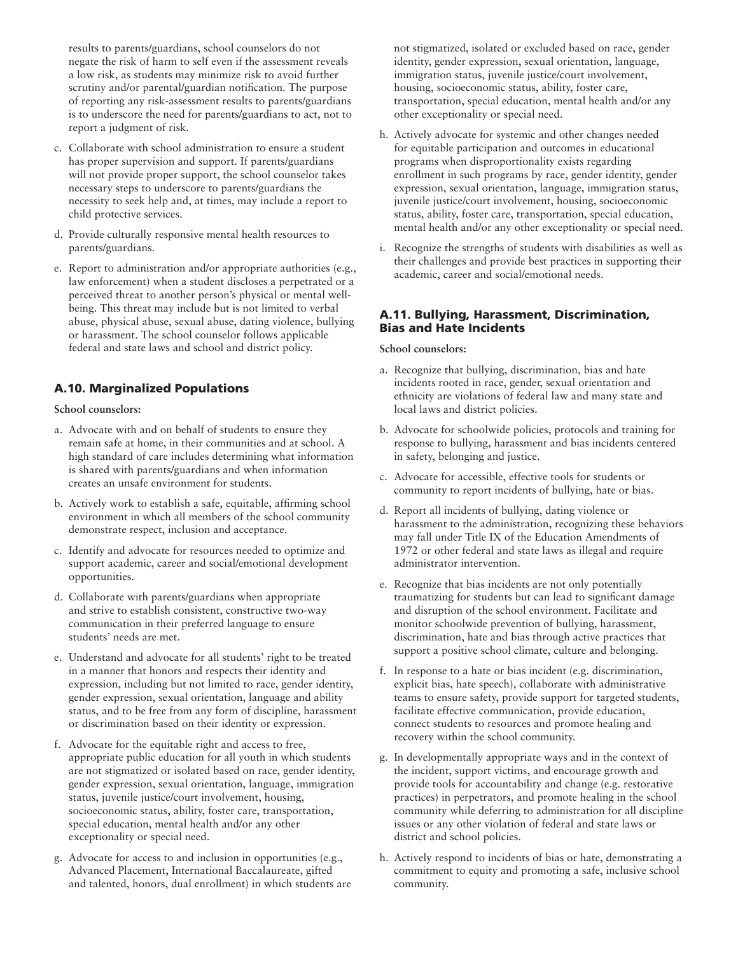results to parents/guardians, school counselors do not negate the risk of harm to self even if the assessment reveals a low risk, as students may minimize risk to avoid further scrutiny and/or parental/guardian notification. The purpose of reporting any risk-assessment results to parents/guardians is to underscore the need for parents/guardians to act, not to report a judgment of risk.

- c. Collaborate with school administration to ensure a student has proper supervision and support. If parents/guardians will not provide proper support, the school counselor takes necessary steps to underscore to parents/guardians the necessity to seek help and, at times, may include a report to child protective services.
- d. Provide culturally responsive mental health resources to parents/guardians.
- e. Report to administration and/or appropriate authorities (e.g., law enforcement) when a student discloses a perpetrated or a perceived threat to another person's physical or mental wellbeing. This threat may include but is not limited to verbal abuse, physical abuse, sexual abuse, dating violence, bullying or harassment. The school counselor follows applicable federal and state laws and school and district policy.

# A.10. Marginalized Populations

#### **School counselors:**

- a. Advocate with and on behalf of students to ensure they remain safe at home, in their communities and at school. A high standard of care includes determining what information is shared with parents/guardians and when information creates an unsafe environment for students.
- b. Actively work to establish a safe, equitable, affirming school environment in which all members of the school community demonstrate respect, inclusion and acceptance.
- c. Identify and advocate for resources needed to optimize and support academic, career and social/emotional development opportunities.
- d. Collaborate with parents/guardians when appropriate and strive to establish consistent, constructive two-way communication in their preferred language to ensure students' needs are met.
- e. Understand and advocate for all students' right to be treated in a manner that honors and respects their identity and expression, including but not limited to race, gender identity, gender expression, sexual orientation, language and ability status, and to be free from any form of discipline, harassment or discrimination based on their identity or expression.
- f. Advocate for the equitable right and access to free, appropriate public education for all youth in which students are not stigmatized or isolated based on race, gender identity, gender expression, sexual orientation, language, immigration status, juvenile justice/court involvement, housing, socioeconomic status, ability, foster care, transportation, special education, mental health and/or any other exceptionality or special need.
- g. Advocate for access to and inclusion in opportunities (e.g., Advanced Placement, International Baccalaureate, gifted and talented, honors, dual enrollment) in which students are

not stigmatized, isolated or excluded based on race, gender identity, gender expression, sexual orientation, language, immigration status, juvenile justice/court involvement, housing, socioeconomic status, ability, foster care, transportation, special education, mental health and/or any other exceptionality or special need.

- h. Actively advocate for systemic and other changes needed for equitable participation and outcomes in educational programs when disproportionality exists regarding enrollment in such programs by race, gender identity, gender expression, sexual orientation, language, immigration status, juvenile justice/court involvement, housing, socioeconomic status, ability, foster care, transportation, special education, mental health and/or any other exceptionality or special need.
- i. Recognize the strengths of students with disabilities as well as their challenges and provide best practices in supporting their academic, career and social/emotional needs.

## A.11. Bullying, Harassment, Discrimination, Bias and Hate Incidents

- a. Recognize that bullying, discrimination, bias and hate incidents rooted in race, gender, sexual orientation and ethnicity are violations of federal law and many state and local laws and district policies.
- b. Advocate for schoolwide policies, protocols and training for response to bullying, harassment and bias incidents centered in safety, belonging and justice.
- c. Advocate for accessible, effective tools for students or community to report incidents of bullying, hate or bias.
- d. Report all incidents of bullying, dating violence or harassment to the administration, recognizing these behaviors may fall under Title IX of the Education Amendments of 1972 or other federal and state laws as illegal and require administrator intervention.
- e. Recognize that bias incidents are not only potentially traumatizing for students but can lead to significant damage and disruption of the school environment. Facilitate and monitor schoolwide prevention of bullying, harassment, discrimination, hate and bias through active practices that support a positive school climate, culture and belonging.
- f. In response to a hate or bias incident (e.g. discrimination, explicit bias, hate speech), collaborate with administrative teams to ensure safety, provide support for targeted students, facilitate effective communication, provide education, connect students to resources and promote healing and recovery within the school community.
- g. In developmentally appropriate ways and in the context of the incident, support victims, and encourage growth and provide tools for accountability and change (e.g. restorative practices) in perpetrators, and promote healing in the school community while deferring to administration for all discipline issues or any other violation of federal and state laws or district and school policies.
- h. Actively respond to incidents of bias or hate, demonstrating a commitment to equity and promoting a safe, inclusive school community.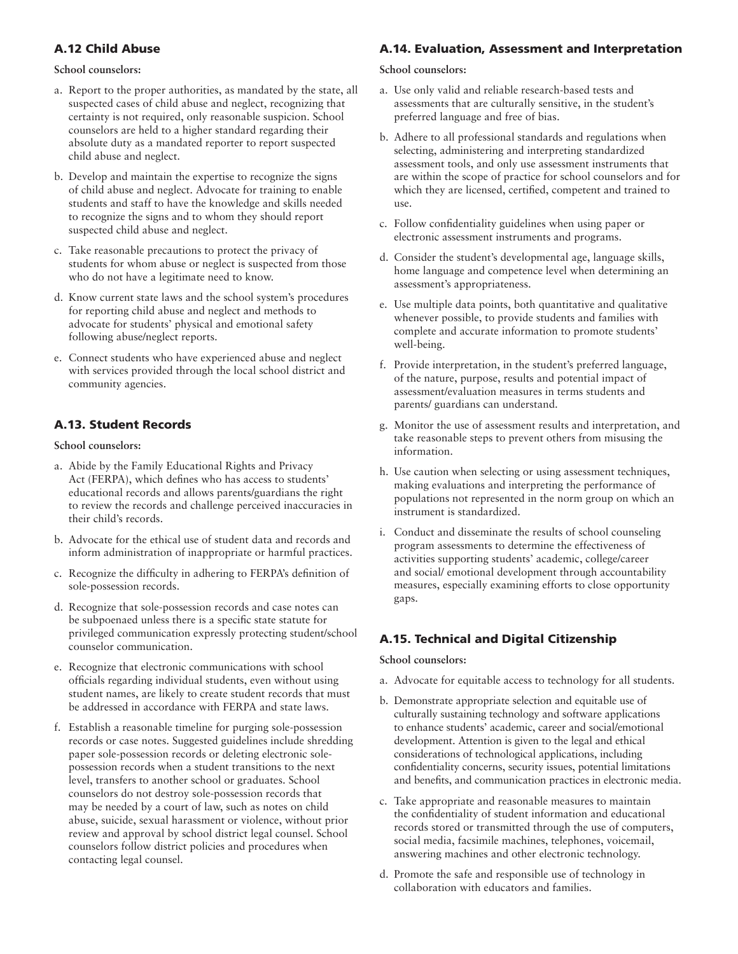# A.12 Child Abuse

## **School counselors:**

- a. Report to the proper authorities, as mandated by the state, all suspected cases of child abuse and neglect, recognizing that certainty is not required, only reasonable suspicion. School counselors are held to a higher standard regarding their absolute duty as a mandated reporter to report suspected child abuse and neglect.
- b. Develop and maintain the expertise to recognize the signs of child abuse and neglect. Advocate for training to enable students and staff to have the knowledge and skills needed to recognize the signs and to whom they should report suspected child abuse and neglect.
- c. Take reasonable precautions to protect the privacy of students for whom abuse or neglect is suspected from those who do not have a legitimate need to know.
- d. Know current state laws and the school system's procedures for reporting child abuse and neglect and methods to advocate for students' physical and emotional safety following abuse/neglect reports.
- e. Connect students who have experienced abuse and neglect with services provided through the local school district and community agencies.

# A.13. Student Records

#### **School counselors:**

- a. Abide by the Family Educational Rights and Privacy Act (FERPA), which defines who has access to students' educational records and allows parents/guardians the right to review the records and challenge perceived inaccuracies in their child's records.
- b. Advocate for the ethical use of student data and records and inform administration of inappropriate or harmful practices.
- c. Recognize the difficulty in adhering to FERPA's definition of sole-possession records.
- d. Recognize that sole-possession records and case notes can be subpoenaed unless there is a specific state statute for privileged communication expressly protecting student/school counselor communication.
- e. Recognize that electronic communications with school officials regarding individual students, even without using student names, are likely to create student records that must be addressed in accordance with FERPA and state laws.
- f. Establish a reasonable timeline for purging sole-possession records or case notes. Suggested guidelines include shredding paper sole-possession records or deleting electronic solepossession records when a student transitions to the next level, transfers to another school or graduates. School counselors do not destroy sole-possession records that may be needed by a court of law, such as notes on child abuse, suicide, sexual harassment or violence, without prior review and approval by school district legal counsel. School counselors follow district policies and procedures when contacting legal counsel.

## A.14. Evaluation, Assessment and Interpretation

#### **School counselors:**

- a. Use only valid and reliable research-based tests and assessments that are culturally sensitive, in the student's preferred language and free of bias.
- b. Adhere to all professional standards and regulations when selecting, administering and interpreting standardized assessment tools, and only use assessment instruments that are within the scope of practice for school counselors and for which they are licensed, certified, competent and trained to use.
- c. Follow confidentiality guidelines when using paper or electronic assessment instruments and programs.
- d. Consider the student's developmental age, language skills, home language and competence level when determining an assessment's appropriateness.
- e. Use multiple data points, both quantitative and qualitative whenever possible, to provide students and families with complete and accurate information to promote students' well-being.
- f. Provide interpretation, in the student's preferred language, of the nature, purpose, results and potential impact of assessment/evaluation measures in terms students and parents/ guardians can understand.
- g. Monitor the use of assessment results and interpretation, and take reasonable steps to prevent others from misusing the information.
- h. Use caution when selecting or using assessment techniques, making evaluations and interpreting the performance of populations not represented in the norm group on which an instrument is standardized.
- i. Conduct and disseminate the results of school counseling program assessments to determine the effectiveness of activities supporting students' academic, college/career and social/ emotional development through accountability measures, especially examining efforts to close opportunity gaps.

# A.15. Technical and Digital Citizenship

- a. Advocate for equitable access to technology for all students.
- b. Demonstrate appropriate selection and equitable use of culturally sustaining technology and software applications to enhance students' academic, career and social/emotional development. Attention is given to the legal and ethical considerations of technological applications, including confidentiality concerns, security issues, potential limitations and benefits, and communication practices in electronic media.
- c. Take appropriate and reasonable measures to maintain the confidentiality of student information and educational records stored or transmitted through the use of computers, social media, facsimile machines, telephones, voicemail, answering machines and other electronic technology.
- d. Promote the safe and responsible use of technology in collaboration with educators and families.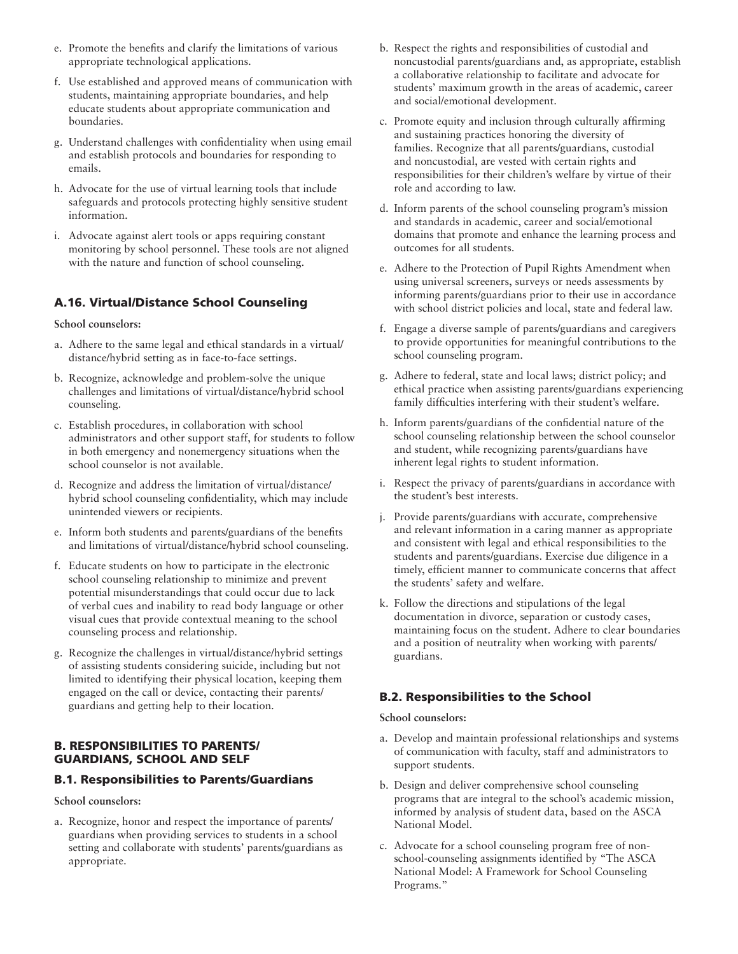- e. Promote the benefits and clarify the limitations of various appropriate technological applications.
- f. Use established and approved means of communication with students, maintaining appropriate boundaries, and help educate students about appropriate communication and boundaries.
- g. Understand challenges with confidentiality when using email and establish protocols and boundaries for responding to emails.
- h. Advocate for the use of virtual learning tools that include safeguards and protocols protecting highly sensitive student information.
- i. Advocate against alert tools or apps requiring constant monitoring by school personnel. These tools are not aligned with the nature and function of school counseling.

# A.16. Virtual/Distance School Counseling

#### **School counselors:**

- a. Adhere to the same legal and ethical standards in a virtual/ distance/hybrid setting as in face-to-face settings.
- b. Recognize, acknowledge and problem-solve the unique challenges and limitations of virtual/distance/hybrid school counseling.
- c. Establish procedures, in collaboration with school administrators and other support staff, for students to follow in both emergency and nonemergency situations when the school counselor is not available.
- d. Recognize and address the limitation of virtual/distance/ hybrid school counseling confidentiality, which may include unintended viewers or recipients.
- e. Inform both students and parents/guardians of the benefits and limitations of virtual/distance/hybrid school counseling.
- f. Educate students on how to participate in the electronic school counseling relationship to minimize and prevent potential misunderstandings that could occur due to lack of verbal cues and inability to read body language or other visual cues that provide contextual meaning to the school counseling process and relationship.
- g. Recognize the challenges in virtual/distance/hybrid settings of assisting students considering suicide, including but not limited to identifying their physical location, keeping them engaged on the call or device, contacting their parents/ guardians and getting help to their location.

## B. RESPONSIBILITIES TO PARENTS/ GUARDIANS, SCHOOL AND SELF

#### B.1. Responsibilities to Parents/Guardians

**School counselors:**

a. Recognize, honor and respect the importance of parents/ guardians when providing services to students in a school setting and collaborate with students' parents/guardians as appropriate.

- b. Respect the rights and responsibilities of custodial and noncustodial parents/guardians and, as appropriate, establish a collaborative relationship to facilitate and advocate for students' maximum growth in the areas of academic, career and social/emotional development.
- c. Promote equity and inclusion through culturally affirming and sustaining practices honoring the diversity of families. Recognize that all parents/guardians, custodial and noncustodial, are vested with certain rights and responsibilities for their children's welfare by virtue of their role and according to law.
- d. Inform parents of the school counseling program's mission and standards in academic, career and social/emotional domains that promote and enhance the learning process and outcomes for all students.
- e. Adhere to the Protection of Pupil Rights Amendment when using universal screeners, surveys or needs assessments by informing parents/guardians prior to their use in accordance with school district policies and local, state and federal law.
- f. Engage a diverse sample of parents/guardians and caregivers to provide opportunities for meaningful contributions to the school counseling program.
- g. Adhere to federal, state and local laws; district policy; and ethical practice when assisting parents/guardians experiencing family difficulties interfering with their student's welfare.
- h. Inform parents/guardians of the confidential nature of the school counseling relationship between the school counselor and student, while recognizing parents/guardians have inherent legal rights to student information.
- i. Respect the privacy of parents/guardians in accordance with the student's best interests.
- j. Provide parents/guardians with accurate, comprehensive and relevant information in a caring manner as appropriate and consistent with legal and ethical responsibilities to the students and parents/guardians. Exercise due diligence in a timely, efficient manner to communicate concerns that affect the students' safety and welfare.
- k. Follow the directions and stipulations of the legal documentation in divorce, separation or custody cases, maintaining focus on the student. Adhere to clear boundaries and a position of neutrality when working with parents/ guardians.

## B.2. Responsibilities to the School

- a. Develop and maintain professional relationships and systems of communication with faculty, staff and administrators to support students.
- b. Design and deliver comprehensive school counseling programs that are integral to the school's academic mission, informed by analysis of student data, based on the ASCA National Model.
- c. Advocate for a school counseling program free of nonschool-counseling assignments identified by "The ASCA National Model: A Framework for School Counseling Programs."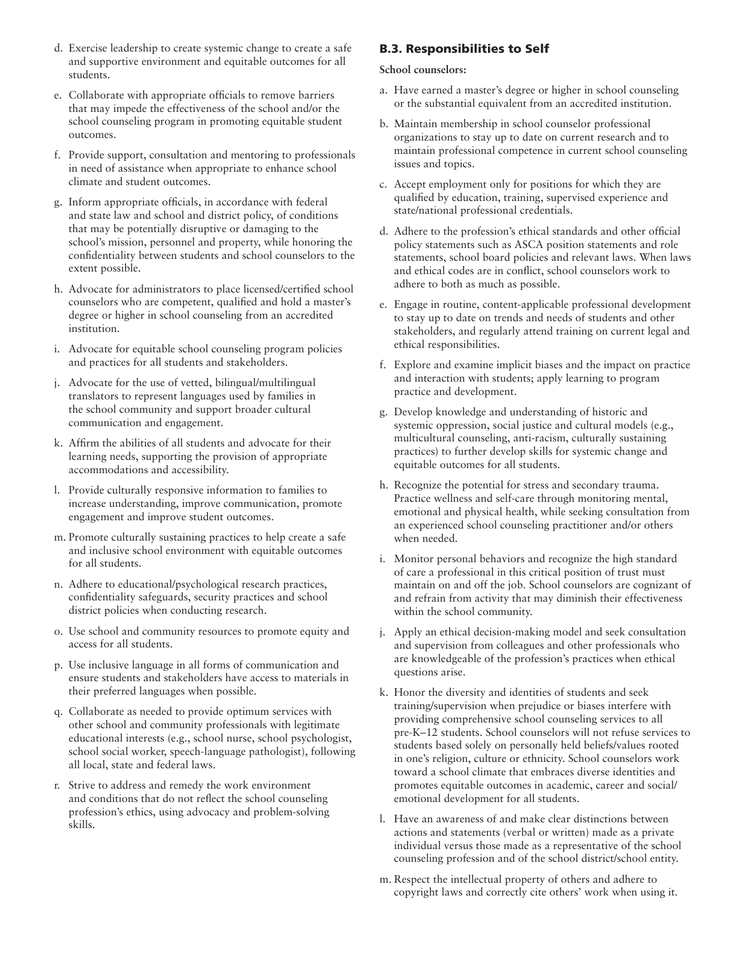- d. Exercise leadership to create systemic change to create a safe and supportive environment and equitable outcomes for all students.
- e. Collaborate with appropriate officials to remove barriers that may impede the effectiveness of the school and/or the school counseling program in promoting equitable student outcomes.
- f. Provide support, consultation and mentoring to professionals in need of assistance when appropriate to enhance school climate and student outcomes.
- g. Inform appropriate officials, in accordance with federal and state law and school and district policy, of conditions that may be potentially disruptive or damaging to the school's mission, personnel and property, while honoring the confidentiality between students and school counselors to the extent possible.
- h. Advocate for administrators to place licensed/certified school counselors who are competent, qualified and hold a master's degree or higher in school counseling from an accredited institution.
- i. Advocate for equitable school counseling program policies and practices for all students and stakeholders.
- j. Advocate for the use of vetted, bilingual/multilingual translators to represent languages used by families in the school community and support broader cultural communication and engagement.
- k. Affirm the abilities of all students and advocate for their learning needs, supporting the provision of appropriate accommodations and accessibility.
- l. Provide culturally responsive information to families to increase understanding, improve communication, promote engagement and improve student outcomes.
- m. Promote culturally sustaining practices to help create a safe and inclusive school environment with equitable outcomes for all students.
- n. Adhere to educational/psychological research practices, confidentiality safeguards, security practices and school district policies when conducting research.
- o. Use school and community resources to promote equity and access for all students.
- p. Use inclusive language in all forms of communication and ensure students and stakeholders have access to materials in their preferred languages when possible.
- q. Collaborate as needed to provide optimum services with other school and community professionals with legitimate educational interests (e.g., school nurse, school psychologist, school social worker, speech-language pathologist), following all local, state and federal laws.
- r. Strive to address and remedy the work environment and conditions that do not reflect the school counseling profession's ethics, using advocacy and problem-solving skills.

# B.3. Responsibilities to Self

- a. Have earned a master's degree or higher in school counseling or the substantial equivalent from an accredited institution.
- b. Maintain membership in school counselor professional organizations to stay up to date on current research and to maintain professional competence in current school counseling issues and topics.
- c. Accept employment only for positions for which they are qualified by education, training, supervised experience and state/national professional credentials.
- d. Adhere to the profession's ethical standards and other official policy statements such as ASCA position statements and role statements, school board policies and relevant laws. When laws and ethical codes are in conflict, school counselors work to adhere to both as much as possible.
- e. Engage in routine, content-applicable professional development to stay up to date on trends and needs of students and other stakeholders, and regularly attend training on current legal and ethical responsibilities.
- f. Explore and examine implicit biases and the impact on practice and interaction with students; apply learning to program practice and development.
- g. Develop knowledge and understanding of historic and systemic oppression, social justice and cultural models (e.g., multicultural counseling, anti-racism, culturally sustaining practices) to further develop skills for systemic change and equitable outcomes for all students.
- h. Recognize the potential for stress and secondary trauma. Practice wellness and self-care through monitoring mental, emotional and physical health, while seeking consultation from an experienced school counseling practitioner and/or others when needed.
- i. Monitor personal behaviors and recognize the high standard of care a professional in this critical position of trust must maintain on and off the job. School counselors are cognizant of and refrain from activity that may diminish their effectiveness within the school community.
- j. Apply an ethical decision-making model and seek consultation and supervision from colleagues and other professionals who are knowledgeable of the profession's practices when ethical questions arise.
- k. Honor the diversity and identities of students and seek training/supervision when prejudice or biases interfere with providing comprehensive school counseling services to all pre-K–12 students. School counselors will not refuse services to students based solely on personally held beliefs/values rooted in one's religion, culture or ethnicity. School counselors work toward a school climate that embraces diverse identities and promotes equitable outcomes in academic, career and social/ emotional development for all students.
- l. Have an awareness of and make clear distinctions between actions and statements (verbal or written) made as a private individual versus those made as a representative of the school counseling profession and of the school district/school entity.
- m. Respect the intellectual property of others and adhere to copyright laws and correctly cite others' work when using it.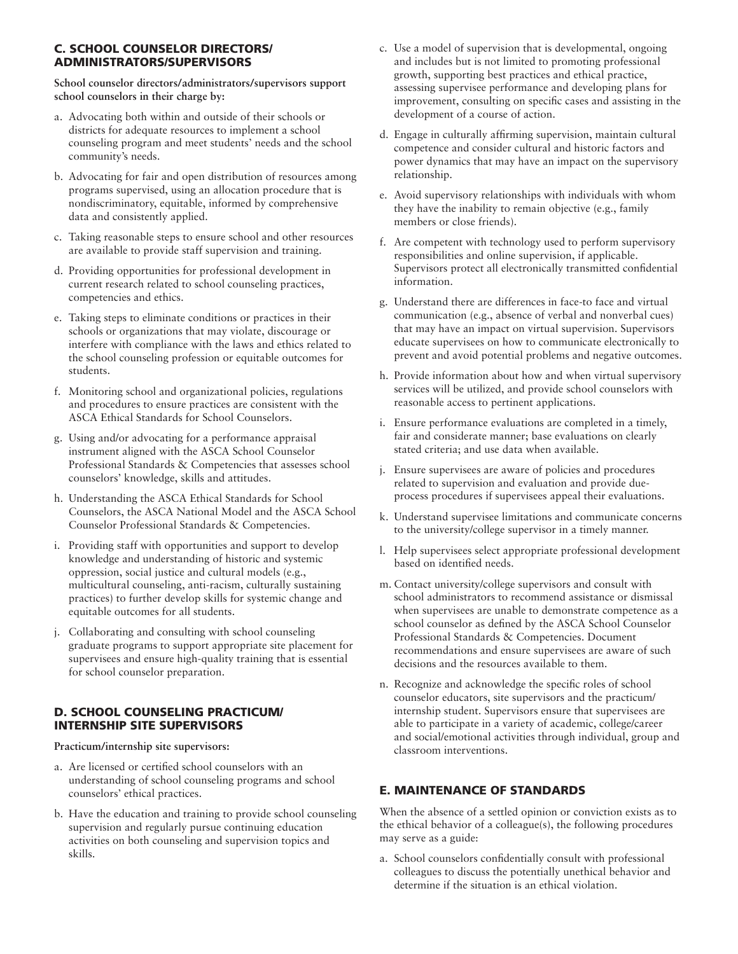## C. SCHOOL COUNSELOR DIRECTORS/ ADMINISTRATORS/SUPERVISORS

**School counselor directors/administrators/supervisors support school counselors in their charge by:**

- a. Advocating both within and outside of their schools or districts for adequate resources to implement a school counseling program and meet students' needs and the school community's needs.
- b. Advocating for fair and open distribution of resources among programs supervised, using an allocation procedure that is nondiscriminatory, equitable, informed by comprehensive data and consistently applied.
- c. Taking reasonable steps to ensure school and other resources are available to provide staff supervision and training.
- d. Providing opportunities for professional development in current research related to school counseling practices, competencies and ethics.
- e. Taking steps to eliminate conditions or practices in their schools or organizations that may violate, discourage or interfere with compliance with the laws and ethics related to the school counseling profession or equitable outcomes for students.
- f. Monitoring school and organizational policies, regulations and procedures to ensure practices are consistent with the ASCA Ethical Standards for School Counselors.
- g. Using and/or advocating for a performance appraisal instrument aligned with the ASCA School Counselor Professional Standards & Competencies that assesses school counselors' knowledge, skills and attitudes.
- h. Understanding the ASCA Ethical Standards for School Counselors, the ASCA National Model and the ASCA School Counselor Professional Standards & Competencies.
- i. Providing staff with opportunities and support to develop knowledge and understanding of historic and systemic oppression, social justice and cultural models (e.g., multicultural counseling, anti-racism, culturally sustaining practices) to further develop skills for systemic change and equitable outcomes for all students.
- j. Collaborating and consulting with school counseling graduate programs to support appropriate site placement for supervisees and ensure high-quality training that is essential for school counselor preparation.

## D. SCHOOL COUNSELING PRACTICUM/ INTERNSHIP SITE SUPERVISORS

**Practicum/internship site supervisors:**

- a. Are licensed or certified school counselors with an understanding of school counseling programs and school counselors' ethical practices.
- b. Have the education and training to provide school counseling supervision and regularly pursue continuing education activities on both counseling and supervision topics and skills.
- c. Use a model of supervision that is developmental, ongoing and includes but is not limited to promoting professional growth, supporting best practices and ethical practice, assessing supervisee performance and developing plans for improvement, consulting on specific cases and assisting in the development of a course of action.
- d. Engage in culturally affirming supervision, maintain cultural competence and consider cultural and historic factors and power dynamics that may have an impact on the supervisory relationship.
- e. Avoid supervisory relationships with individuals with whom they have the inability to remain objective (e.g., family members or close friends).
- f. Are competent with technology used to perform supervisory responsibilities and online supervision, if applicable. Supervisors protect all electronically transmitted confidential information.
- g. Understand there are differences in face-to face and virtual communication (e.g., absence of verbal and nonverbal cues) that may have an impact on virtual supervision. Supervisors educate supervisees on how to communicate electronically to prevent and avoid potential problems and negative outcomes.
- h. Provide information about how and when virtual supervisory services will be utilized, and provide school counselors with reasonable access to pertinent applications.
- i. Ensure performance evaluations are completed in a timely, fair and considerate manner; base evaluations on clearly stated criteria; and use data when available.
- j. Ensure supervisees are aware of policies and procedures related to supervision and evaluation and provide dueprocess procedures if supervisees appeal their evaluations.
- k. Understand supervisee limitations and communicate concerns to the university/college supervisor in a timely manner.
- l. Help supervisees select appropriate professional development based on identified needs.
- m. Contact university/college supervisors and consult with school administrators to recommend assistance or dismissal when supervisees are unable to demonstrate competence as a school counselor as defined by the ASCA School Counselor Professional Standards & Competencies. Document recommendations and ensure supervisees are aware of such decisions and the resources available to them.
- n. Recognize and acknowledge the specific roles of school counselor educators, site supervisors and the practicum/ internship student. Supervisors ensure that supervisees are able to participate in a variety of academic, college/career and social/emotional activities through individual, group and classroom interventions.

# E. MAINTENANCE OF STANDARDS

When the absence of a settled opinion or conviction exists as to the ethical behavior of a colleague(s), the following procedures may serve as a guide:

a. School counselors confidentially consult with professional colleagues to discuss the potentially unethical behavior and determine if the situation is an ethical violation.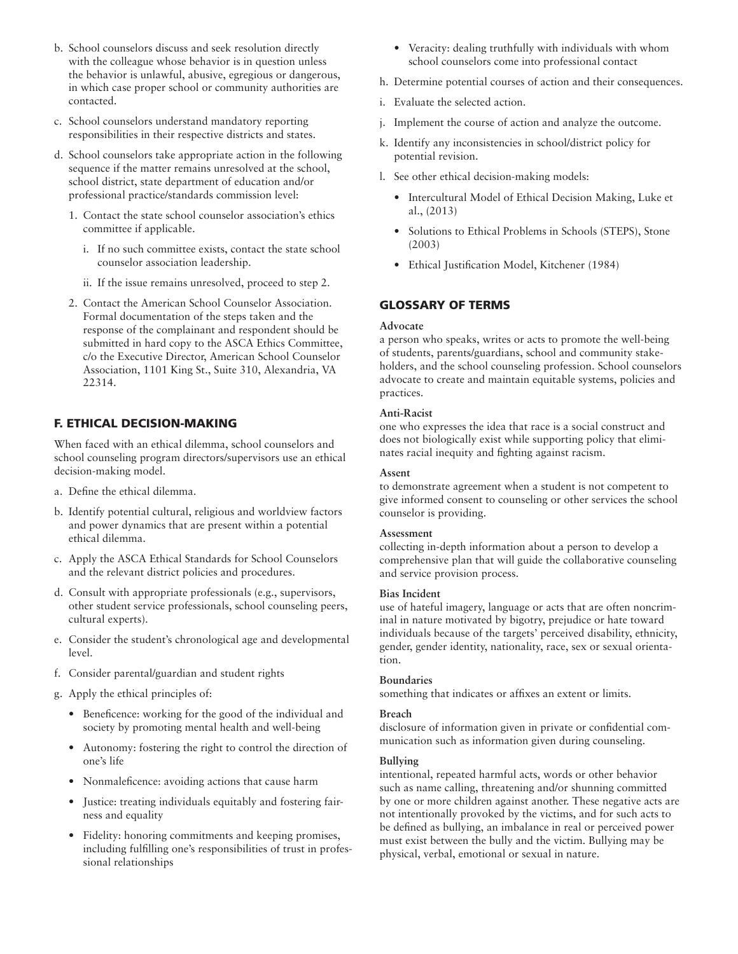- b. School counselors discuss and seek resolution directly with the colleague whose behavior is in question unless the behavior is unlawful, abusive, egregious or dangerous, in which case proper school or community authorities are contacted.
- c. School counselors understand mandatory reporting responsibilities in their respective districts and states.
- d. School counselors take appropriate action in the following sequence if the matter remains unresolved at the school, school district, state department of education and/or professional practice/standards commission level:
	- 1. Contact the state school counselor association's ethics committee if applicable.
		- i. If no such committee exists, contact the state school counselor association leadership.
		- ii. If the issue remains unresolved, proceed to step 2.
	- 2. Contact the American School Counselor Association. Formal documentation of the steps taken and the response of the complainant and respondent should be submitted in hard copy to the ASCA Ethics Committee, c/o the Executive Director, American School Counselor Association, 1101 King St., Suite 310, Alexandria, VA 22314.

## F. ETHICAL DECISION-MAKING

When faced with an ethical dilemma, school counselors and school counseling program directors/supervisors use an ethical decision-making model.

- a. Define the ethical dilemma.
- b. Identify potential cultural, religious and worldview factors and power dynamics that are present within a potential ethical dilemma.
- c. Apply the ASCA Ethical Standards for School Counselors and the relevant district policies and procedures.
- d. Consult with appropriate professionals (e.g., supervisors, other student service professionals, school counseling peers, cultural experts).
- e. Consider the student's chronological age and developmental level.
- f. Consider parental/guardian and student rights
- g. Apply the ethical principles of:
	- Beneficence: working for the good of the individual and society by promoting mental health and well-being
	- Autonomy: fostering the right to control the direction of one's life
	- Nonmaleficence: avoiding actions that cause harm
	- Justice: treating individuals equitably and fostering fairness and equality
	- Fidelity: honoring commitments and keeping promises, including fulfilling one's responsibilities of trust in professional relationships
- Veracity: dealing truthfully with individuals with whom school counselors come into professional contact
- h. Determine potential courses of action and their consequences.
- i. Evaluate the selected action.
- j. Implement the course of action and analyze the outcome.
- k. Identify any inconsistencies in school/district policy for potential revision.
- l. See other ethical decision-making models:
	- Intercultural Model of Ethical Decision Making, Luke et al., (2013)
	- Solutions to Ethical Problems in Schools (STEPS), Stone (2003)
	- Ethical Justification Model, Kitchener (1984)

## GLOSSARY OF TERMS

#### **Advocate**

a person who speaks, writes or acts to promote the well-being of students, parents/guardians, school and community stakeholders, and the school counseling profession. School counselors advocate to create and maintain equitable systems, policies and practices.

#### **Anti-Racist**

one who expresses the idea that race is a social construct and does not biologically exist while supporting policy that eliminates racial inequity and fighting against racism.

#### **Assent**

to demonstrate agreement when a student is not competent to give informed consent to counseling or other services the school counselor is providing.

#### **Assessment**

collecting in-depth information about a person to develop a comprehensive plan that will guide the collaborative counseling and service provision process.

## **Bias Incident**

use of hateful imagery, language or acts that are often noncriminal in nature motivated by bigotry, prejudice or hate toward individuals because of the targets' perceived disability, ethnicity, gender, gender identity, nationality, race, sex or sexual orientation.

#### **Boundaries**

something that indicates or affixes an extent or limits.

#### **Breach**

disclosure of information given in private or confidential communication such as information given during counseling.

#### **Bullying**

intentional, repeated harmful acts, words or other behavior such as name calling, threatening and/or shunning committed by one or more children against another. These negative acts are not intentionally provoked by the victims, and for such acts to be defined as bullying, an imbalance in real or perceived power must exist between the bully and the victim. Bullying may be physical, verbal, emotional or sexual in nature.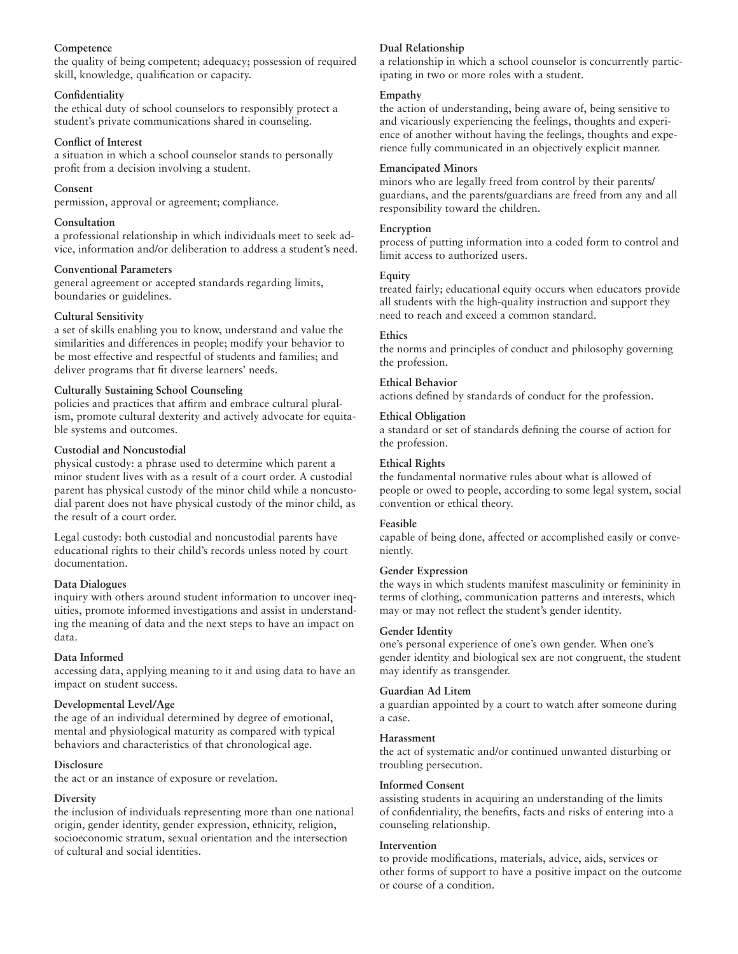## **Competence**

the quality of being competent; adequacy; possession of required skill, knowledge, qualification or capacity.

## **Confidentiality**

the ethical duty of school counselors to responsibly protect a student's private communications shared in counseling.

## **Conflict of Interest**

a situation in which a school counselor stands to personally profit from a decision involving a student.

## **Consent**

permission, approval or agreement; compliance.

## **Consultation**

a professional relationship in which individuals meet to seek advice, information and/or deliberation to address a student's need.

## **Conventional Parameters**

general agreement or accepted standards regarding limits, boundaries or guidelines.

## **Cultural Sensitivity**

a set of skills enabling you to know, understand and value the similarities and differences in people; modify your behavior to be most effective and respectful of students and families; and deliver programs that fit diverse learners' needs.

## **Culturally Sustaining School Counseling**

policies and practices that affirm and embrace cultural pluralism, promote cultural dexterity and actively advocate for equitable systems and outcomes.

## **Custodial and Noncustodial**

physical custody: a phrase used to determine which parent a minor student lives with as a result of a court order. A custodial parent has physical custody of the minor child while a noncustodial parent does not have physical custody of the minor child, as the result of a court order.

Legal custody: both custodial and noncustodial parents have educational rights to their child's records unless noted by court documentation.

## **Data Dialogues**

inquiry with others around student information to uncover inequities, promote informed investigations and assist in understanding the meaning of data and the next steps to have an impact on data.

## **Data Informed**

accessing data, applying meaning to it and using data to have an impact on student success.

## **Developmental Level/Age**

the age of an individual determined by degree of emotional, mental and physiological maturity as compared with typical behaviors and characteristics of that chronological age.

## **Disclosure**

the act or an instance of exposure or revelation.

## **Diversity**

the inclusion of individuals representing more than one national origin, gender identity, gender expression, ethnicity, religion, socioeconomic stratum, sexual orientation and the intersection of cultural and social identities.

## **Dual Relationship**

a relationship in which a school counselor is concurrently participating in two or more roles with a student.

## **Empathy**

the action of understanding, being aware of, being sensitive to and vicariously experiencing the feelings, thoughts and experience of another without having the feelings, thoughts and experience fully communicated in an objectively explicit manner.

## **Emancipated Minors**

minors who are legally freed from control by their parents/ guardians, and the parents/guardians are freed from any and all responsibility toward the children.

## **Encryption**

process of putting information into a coded form to control and limit access to authorized users.

## **Equity**

treated fairly; educational equity occurs when educators provide all students with the high-quality instruction and support they need to reach and exceed a common standard.

## **Ethics**

the norms and principles of conduct and philosophy governing the profession.

## **Ethical Behavior**

actions defined by standards of conduct for the profession.

#### **Ethical Obligation**

a standard or set of standards defining the course of action for the profession.

## **Ethical Rights**

the fundamental normative rules about what is allowed of people or owed to people, according to some legal system, social convention or ethical theory.

## **Feasible**

capable of being done, affected or accomplished easily or conveniently.

#### **Gender Expression**

the ways in which students manifest masculinity or femininity in terms of clothing, communication patterns and interests, which may or may not reflect the student's gender identity.

#### **Gender Identity**

one's personal experience of one's own gender. When one's gender identity and biological sex are not congruent, the student may identify as transgender.

#### **Guardian Ad Litem**

a guardian appointed by a court to watch after someone during a case.

#### **Harassment**

the act of systematic and/or continued unwanted disturbing or troubling persecution.

#### **Informed Consent**

assisting students in acquiring an understanding of the limits of confidentiality, the benefits, facts and risks of entering into a counseling relationship.

#### **Intervention**

to provide modifications, materials, advice, aids, services or other forms of support to have a positive impact on the outcome or course of a condition.